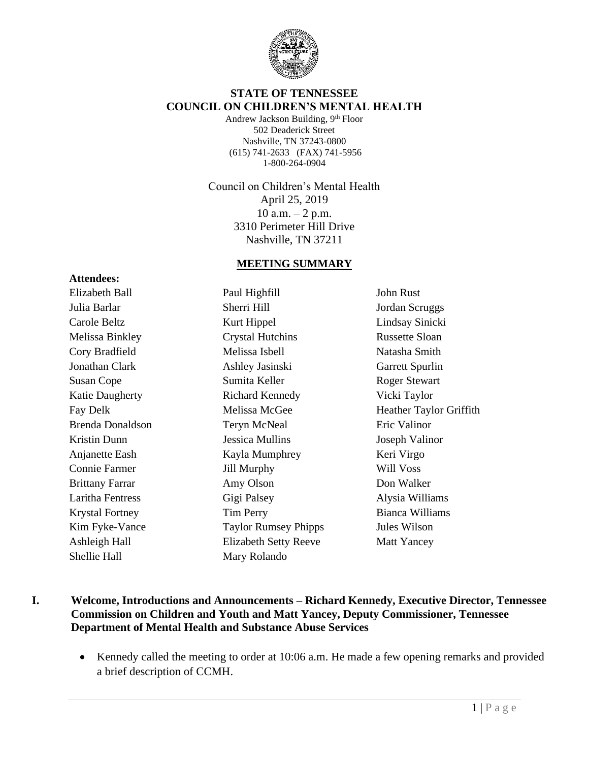

#### **STATE OF TENNESSEE COUNCIL ON CHILDREN'S MENTAL HEALTH**

Andrew Jackson Building, 9th Floor 502 Deaderick Street Nashville, TN 37243-0800 (615) 741-2633 (FAX) 741-5956 1-800-264-0904

Council on Children's Mental Health April 25, 2019  $10$  a.m.  $-2$  p.m. 3310 Perimeter Hill Drive Nashville, TN 37211

#### **MEETING SUMMARY**

**Attendees:** Elizabeth Ball Julia Barlar Carole Beltz Melissa Binkley Cory Bradfield Jonathan Clark Susan Cope Katie Daugherty Fay Delk Brenda Donaldson Kristin Dunn Anjanette Eash Connie Farmer Brittany Farrar Laritha Fentress Krystal Fortney Kim Fyke-Vance Ashleigh Hall Shellie Hall

Paul Highfill Sherri Hill Kurt Hippel Crystal Hutchins Melissa Isbell Ashley Jasinski Sumita Keller Richard Kennedy Melissa McGee Teryn McNeal Jessica Mullins Kayla Mumphrey Jill Murphy Amy Olson Gigi Palsey Tim Perry Taylor Rumsey Phipps Elizabeth Setty Reeve Mary Rolando

John Rust Jordan Scruggs Lindsay Sinicki Russette Sloan Natasha Smith Garrett Spurlin Roger Stewart Vicki Taylor Heather Taylor Griffith Eric Valinor Joseph Valinor Keri Virgo Will Voss Don Walker Alysia Williams Bianca Williams Jules Wilson Matt Yancey

- **I. Welcome, Introductions and Announcements – Richard Kennedy, Executive Director, Tennessee Commission on Children and Youth and Matt Yancey, Deputy Commissioner, Tennessee Department of Mental Health and Substance Abuse Services**
	- Kennedy called the meeting to order at 10:06 a.m. He made a few opening remarks and provided a brief description of CCMH.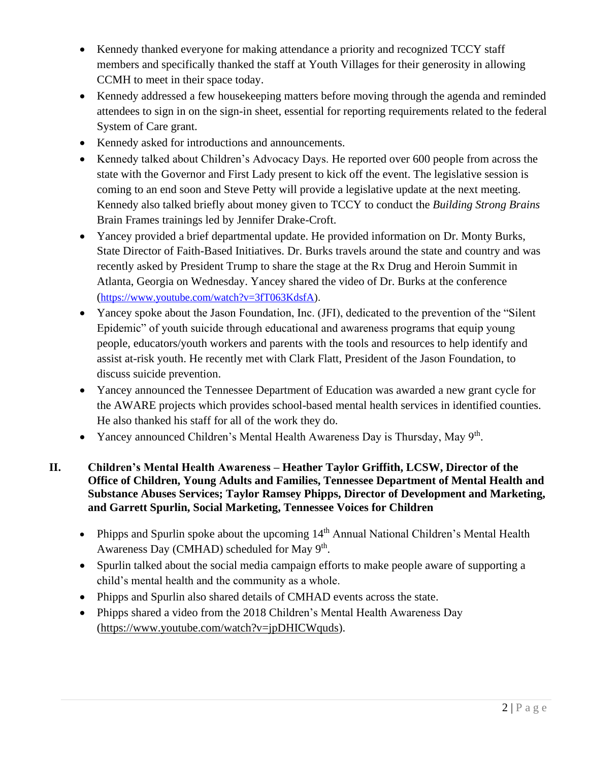- Kennedy thanked everyone for making attendance a priority and recognized TCCY staff members and specifically thanked the staff at Youth Villages for their generosity in allowing CCMH to meet in their space today.
- Kennedy addressed a few housekeeping matters before moving through the agenda and reminded attendees to sign in on the sign-in sheet, essential for reporting requirements related to the federal System of Care grant.
- Kennedy asked for introductions and announcements.
- Kennedy talked about Children's Advocacy Days. He reported over 600 people from across the state with the Governor and First Lady present to kick off the event. The legislative session is coming to an end soon and Steve Petty will provide a legislative update at the next meeting. Kennedy also talked briefly about money given to TCCY to conduct the *Building Strong Brains* Brain Frames trainings led by Jennifer Drake-Croft.
- Yancey provided a brief departmental update. He provided information on Dr. Monty Burks, State Director of Faith-Based Initiatives. Dr. Burks travels around the state and country and was recently asked by President Trump to share the stage at the Rx Drug and Heroin Summit in Atlanta, Georgia on Wednesday. Yancey shared the video of Dr. Burks at the conference ([https://www.youtube.com/watch?v=3fT063KdsfA\)](https://www.youtube.com/watch?v=3fT063KdsfA).
- Yancey spoke about the Jason Foundation, Inc. (JFI), dedicated to the prevention of the "Silent" Epidemic" of youth suicide through educational and awareness programs that equip young people, educators/youth workers and parents with the tools and resources to help identify and assist at-risk youth. He recently met with Clark Flatt, President of the Jason Foundation, to discuss suicide prevention.
- Yancey announced the Tennessee Department of Education was awarded a new grant cycle for the AWARE projects which provides school-based mental health services in identified counties. He also thanked his staff for all of the work they do.
- Yancey announced Children's Mental Health Awareness Day is Thursday, May  $9<sup>th</sup>$ .

#### **II. Children's Mental Health Awareness – Heather Taylor Griffith, LCSW, Director of the Office of Children, Young Adults and Families, Tennessee Department of Mental Health and Substance Abuses Services; Taylor Ramsey Phipps, Director of Development and Marketing, and Garrett Spurlin, Social Marketing, Tennessee Voices for Children**

- Phipps and Spurlin spoke about the upcoming 14<sup>th</sup> Annual National Children's Mental Health Awareness Day (CMHAD) scheduled for May 9<sup>th</sup>.
- Spurlin talked about the social media campaign efforts to make people aware of supporting a child's mental health and the community as a whole.
- Phipps and Spurlin also shared details of CMHAD events across the state.
- Phipps shared a video from the 2018 Children's Mental Health Awareness Day [\(https://www.youtube.com/watch?v=jpDHICWquds\)](https://www.youtube.com/watch?v=jpDHICWquds).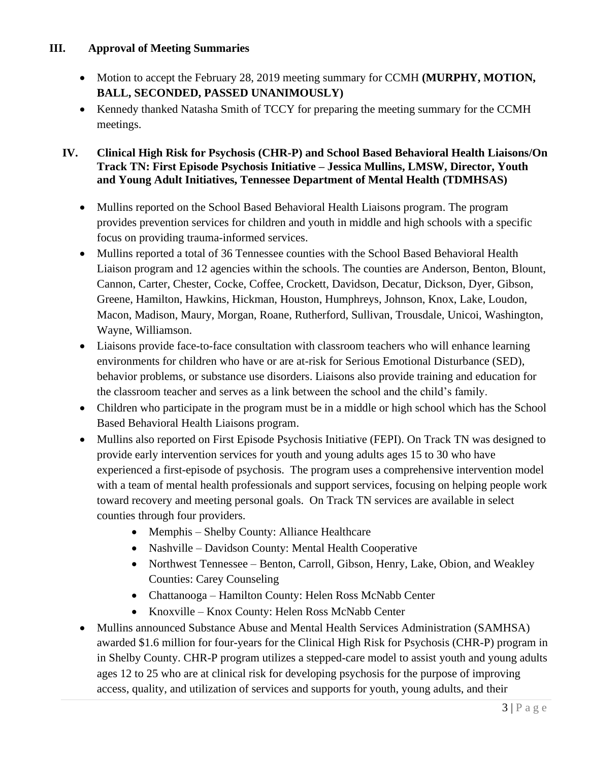## **III. Approval of Meeting Summaries**

- Motion to accept the February 28, 2019 meeting summary for CCMH **(MURPHY, MOTION, BALL, SECONDED, PASSED UNANIMOUSLY)**
- Kennedy thanked Natasha Smith of TCCY for preparing the meeting summary for the CCMH meetings.

## **IV. Clinical High Risk for Psychosis (CHR-P) and School Based Behavioral Health Liaisons/On Track TN: First Episode Psychosis Initiative – Jessica Mullins, LMSW, Director, Youth and Young Adult Initiatives, Tennessee Department of Mental Health (TDMHSAS)**

- Mullins reported on the School Based Behavioral Health Liaisons program. The program provides prevention services for children and youth in middle and high schools with a specific focus on providing trauma-informed services.
- Mullins reported a total of 36 Tennessee counties with the School Based Behavioral Health Liaison program and 12 agencies within the schools. The counties are Anderson, Benton, Blount, Cannon, Carter, Chester, Cocke, Coffee, Crockett, Davidson, Decatur, Dickson, Dyer, Gibson, Greene, Hamilton, Hawkins, Hickman, Houston, Humphreys, Johnson, Knox, Lake, Loudon, Macon, Madison, Maury, Morgan, Roane, Rutherford, Sullivan, Trousdale, Unicoi, Washington, Wayne, Williamson.
- Liaisons provide face-to-face consultation with classroom teachers who will enhance learning environments for children who have or are at-risk for Serious Emotional Disturbance (SED), behavior problems, or substance use disorders. Liaisons also provide training and education for the classroom teacher and serves as a link between the school and the child's family.
- Children who participate in the program must be in a middle or high school which has the School Based Behavioral Health Liaisons program.
- Mullins also reported on First Episode Psychosis Initiative (FEPI). On Track TN was designed to provide early intervention services for youth and young adults ages 15 to 30 who have experienced a first-episode of psychosis. The program uses a comprehensive intervention model with a team of mental health professionals and support services, focusing on helping people work toward recovery and meeting personal goals. On Track TN services are available in select counties through four providers.
	- Memphis Shelby County: Alliance Healthcare
	- Nashville Davidson County: Mental Health Cooperative
	- Northwest Tennessee Benton, Carroll, Gibson, Henry, Lake, Obion, and Weakley Counties: Carey Counseling
	- Chattanooga Hamilton County: Helen Ross McNabb Center
	- Knoxville Knox County: Helen Ross McNabb Center
- Mullins announced Substance Abuse and Mental Health Services Administration (SAMHSA) awarded \$1.6 million for four-years for the Clinical High Risk for Psychosis (CHR-P) program in in Shelby County. CHR-P program utilizes a stepped-care model to assist youth and young adults ages 12 to 25 who are at clinical risk for developing psychosis for the purpose of improving access, quality, and utilization of services and supports for youth, young adults, and their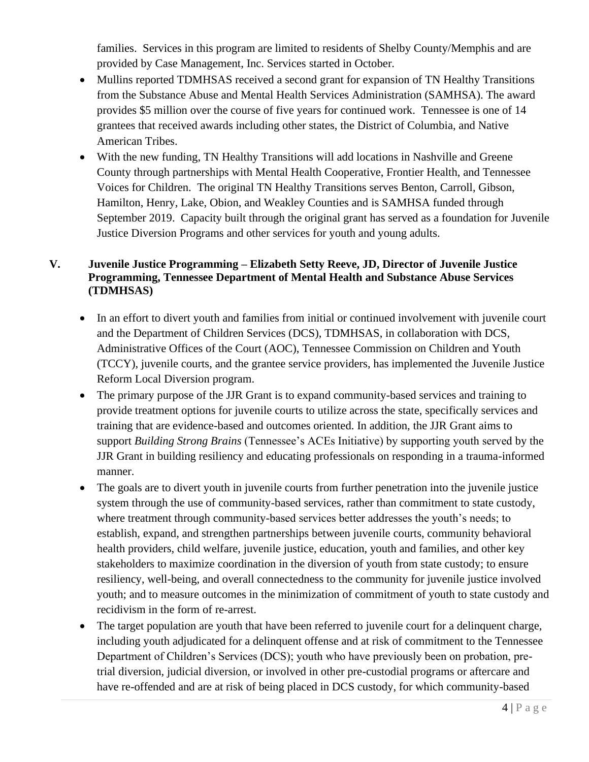families. Services in this program are limited to residents of Shelby County/Memphis and are provided by Case Management, Inc. Services started in October.

- Mullins reported TDMHSAS received a second grant for expansion of TN Healthy Transitions from the Substance Abuse and Mental Health Services Administration (SAMHSA). The award provides \$5 million over the course of five years for continued work. Tennessee is one of 14 grantees that received awards including other states, the District of Columbia, and Native American Tribes.
- With the new funding, TN Healthy Transitions will add locations in Nashville and Greene County through partnerships with Mental Health Cooperative, Frontier Health, and Tennessee Voices for Children. The original TN Healthy Transitions serves Benton, Carroll, Gibson, Hamilton, Henry, Lake, Obion, and Weakley Counties and is SAMHSA funded through September 2019. Capacity built through the original grant has served as a foundation for Juvenile Justice Diversion Programs and other services for youth and young adults.

## **V. Juvenile Justice Programming – Elizabeth Setty Reeve, JD, Director of Juvenile Justice Programming, Tennessee Department of Mental Health and Substance Abuse Services (TDMHSAS)**

- In an effort to divert youth and families from initial or continued involvement with juvenile court and the Department of Children Services (DCS), TDMHSAS, in collaboration with DCS, Administrative Offices of the Court (AOC), Tennessee Commission on Children and Youth (TCCY), juvenile courts, and the grantee service providers, has implemented the Juvenile Justice Reform Local Diversion program.
- The primary purpose of the JJR Grant is to expand community-based services and training to provide treatment options for juvenile courts to utilize across the state, specifically services and training that are evidence-based and outcomes oriented. In addition, the JJR Grant aims to support *Building Strong Brains* (Tennessee's ACEs Initiative) by supporting youth served by the JJR Grant in building resiliency and educating professionals on responding in a trauma-informed manner.
- The goals are to divert youth in juvenile courts from further penetration into the juvenile justice system through the use of community-based services, rather than commitment to state custody, where treatment through community-based services better addresses the youth's needs; to establish, expand, and strengthen partnerships between juvenile courts, community behavioral health providers, child welfare, juvenile justice, education, youth and families, and other key stakeholders to maximize coordination in the diversion of youth from state custody; to ensure resiliency, well-being, and overall connectedness to the community for juvenile justice involved youth; and to measure outcomes in the minimization of commitment of youth to state custody and recidivism in the form of re-arrest.
- The target population are youth that have been referred to juvenile court for a delinquent charge, including youth adjudicated for a delinquent offense and at risk of commitment to the Tennessee Department of Children's Services (DCS); youth who have previously been on probation, pretrial diversion, judicial diversion, or involved in other pre-custodial programs or aftercare and have re-offended and are at risk of being placed in DCS custody, for which community-based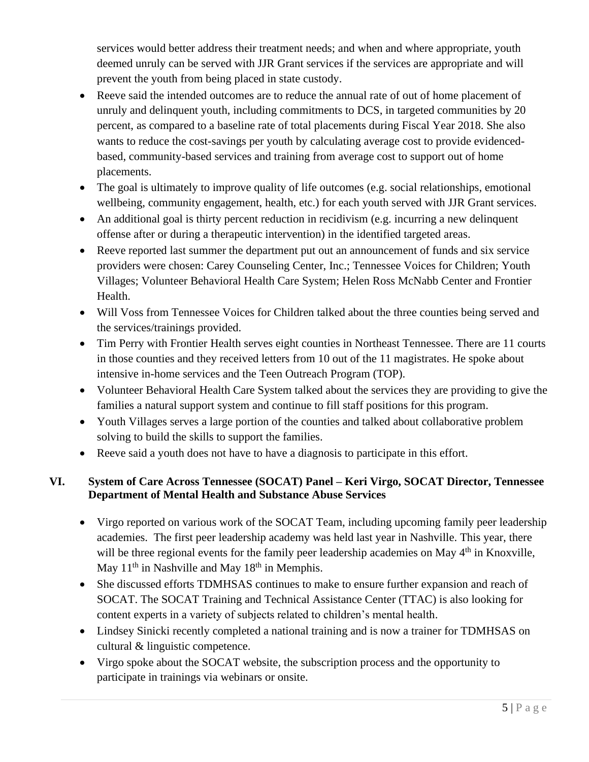services would better address their treatment needs; and when and where appropriate, youth deemed unruly can be served with JJR Grant services if the services are appropriate and will prevent the youth from being placed in state custody.

- Reeve said the intended outcomes are to reduce the annual rate of out of home placement of unruly and delinquent youth, including commitments to DCS, in targeted communities by 20 percent, as compared to a baseline rate of total placements during Fiscal Year 2018. She also wants to reduce the cost-savings per youth by calculating average cost to provide evidencedbased, community-based services and training from average cost to support out of home placements.
- The goal is ultimately to improve quality of life outcomes (e.g. social relationships, emotional wellbeing, community engagement, health, etc.) for each youth served with JJR Grant services.
- An additional goal is thirty percent reduction in recidivism (e.g. incurring a new delinquent offense after or during a therapeutic intervention) in the identified targeted areas.
- Reeve reported last summer the department put out an announcement of funds and six service providers were chosen: Carey Counseling Center, Inc.; Tennessee Voices for Children; Youth Villages; Volunteer Behavioral Health Care System; Helen Ross McNabb Center and Frontier Health.
- Will Voss from Tennessee Voices for Children talked about the three counties being served and the services/trainings provided.
- Tim Perry with Frontier Health serves eight counties in Northeast Tennessee. There are 11 courts in those counties and they received letters from 10 out of the 11 magistrates. He spoke about intensive in-home services and the Teen Outreach Program (TOP).
- Volunteer Behavioral Health Care System talked about the services they are providing to give the families a natural support system and continue to fill staff positions for this program.
- Youth Villages serves a large portion of the counties and talked about collaborative problem solving to build the skills to support the families.
- Reeve said a youth does not have to have a diagnosis to participate in this effort.

# **VI. System of Care Across Tennessee (SOCAT) Panel – Keri Virgo, SOCAT Director, Tennessee Department of Mental Health and Substance Abuse Services**

- Virgo reported on various work of the SOCAT Team, including upcoming family peer leadership academies. The first peer leadership academy was held last year in Nashville. This year, there will be three regional events for the family peer leadership academies on May 4<sup>th</sup> in Knoxville, May  $11<sup>th</sup>$  in Nashville and May  $18<sup>th</sup>$  in Memphis.
- She discussed efforts TDMHSAS continues to make to ensure further expansion and reach of SOCAT. The SOCAT Training and Technical Assistance Center (TTAC) is also looking for content experts in a variety of subjects related to children's mental health.
- Lindsey Sinicki recently completed a national training and is now a trainer for TDMHSAS on cultural & linguistic competence.
- Virgo spoke about the SOCAT website, the subscription process and the opportunity to participate in trainings via webinars or onsite.